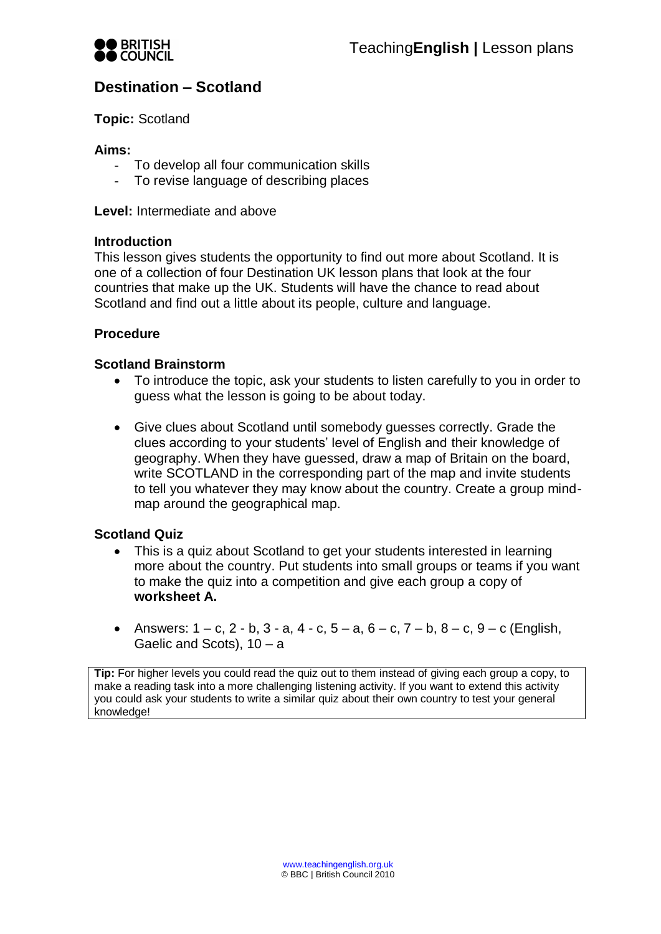

# **Destination – Scotland**

**Topic:** Scotland

### **Aims:**

- To develop all four communication skills
- To revise language of describing places

**Level:** Intermediate and above

### **Introduction**

This lesson gives students the opportunity to find out more about Scotland. It is one of a collection of four Destination UK lesson plans that look at the four countries that make up the UK. Students will have the chance to read about Scotland and find out a little about its people, culture and language.

# **Procedure**

# **Scotland Brainstorm**

- To introduce the topic, ask your students to listen carefully to you in order to guess what the lesson is going to be about today.
- Give clues about Scotland until somebody guesses correctly. Grade the clues according to your students' level of English and their knowledge of geography. When they have guessed, draw a map of Britain on the board, write SCOTLAND in the corresponding part of the map and invite students to tell you whatever they may know about the country. Create a group mindmap around the geographical map.

# **Scotland Quiz**

- This is a quiz about Scotland to get your students interested in learning more about the country. Put students into small groups or teams if you want to make the quiz into a competition and give each group a copy of **worksheet A.**
- Answers:  $1 c$ ,  $2 b$ ,  $3 a$ ,  $4 c$ ,  $5 a$ ,  $6 c$ ,  $7 b$ ,  $8 c$ ,  $9 c$  (English, Gaelic and Scots), 10 – a

**Tip:** For higher levels you could read the quiz out to them instead of giving each group a copy, to make a reading task into a more challenging listening activity. If you want to extend this activity you could ask your students to write a similar quiz about their own country to test your general knowledge!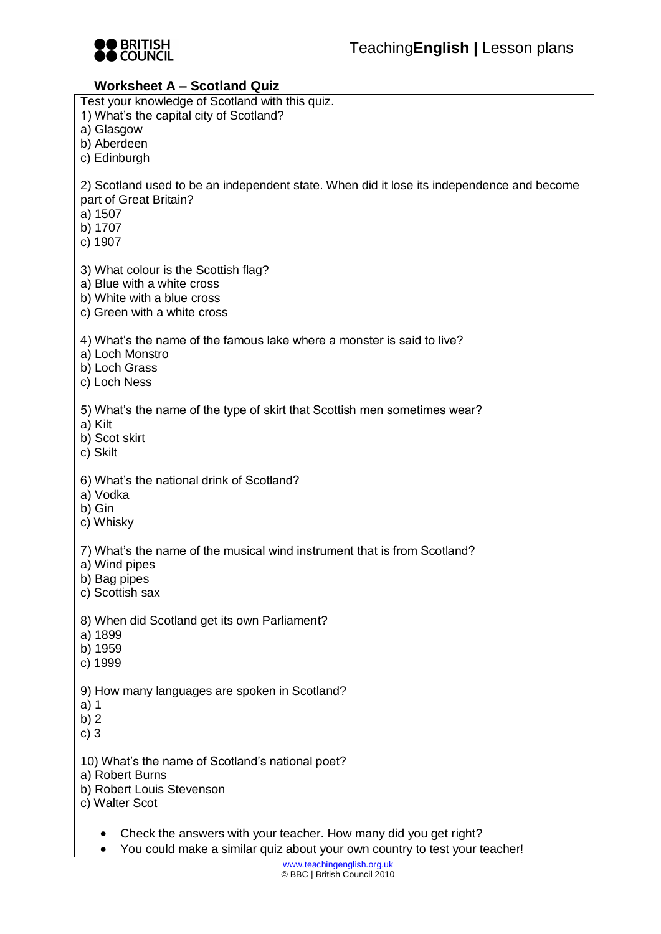

# **Worksheet A – Scotland Quiz**

| $\mathbf w$ u nəhicci $\mathbf A = \mathbf w$ ccili və saiz                                                                                          |
|------------------------------------------------------------------------------------------------------------------------------------------------------|
| Test your knowledge of Scotland with this quiz.<br>1) What's the capital city of Scotland?<br>a) Glasgow                                             |
| b) Aberdeen<br>c) Edinburgh                                                                                                                          |
| 2) Scotland used to be an independent state. When did it lose its independence and become<br>part of Great Britain?<br>a) 1507<br>b) 1707<br>c) 1907 |
| 3) What colour is the Scottish flag?<br>a) Blue with a white cross<br>b) White with a blue cross<br>c) Green with a white cross                      |
| 4) What's the name of the famous lake where a monster is said to live?<br>a) Loch Monstro<br>b) Loch Grass<br>c) Loch Ness                           |
| 5) What's the name of the type of skirt that Scottish men sometimes wear?<br>a) Kilt<br>b) Scot skirt<br>c) Skilt                                    |
| 6) What's the national drink of Scotland?<br>a) Vodka<br>b) Gin<br>c) Whisky                                                                         |
| 7) What's the name of the musical wind instrument that is from Scotland?<br>a) Wind pipes<br>b) Bag pipes<br>c) Scottish sax                         |
| 8) When did Scotland get its own Parliament?<br>a) 1899<br>b) 1959<br>c) 1999                                                                        |
| 9) How many languages are spoken in Scotland?<br>a) 1<br>b)2<br>c) $3$                                                                               |
| 10) What's the name of Scotland's national poet?<br>a) Robert Burns<br>b) Robert Louis Stevenson<br>c) Walter Scot                                   |
| Check the answers with your teacher. How many did you get right?                                                                                     |

You could make a similar quiz about your own country to test your teacher!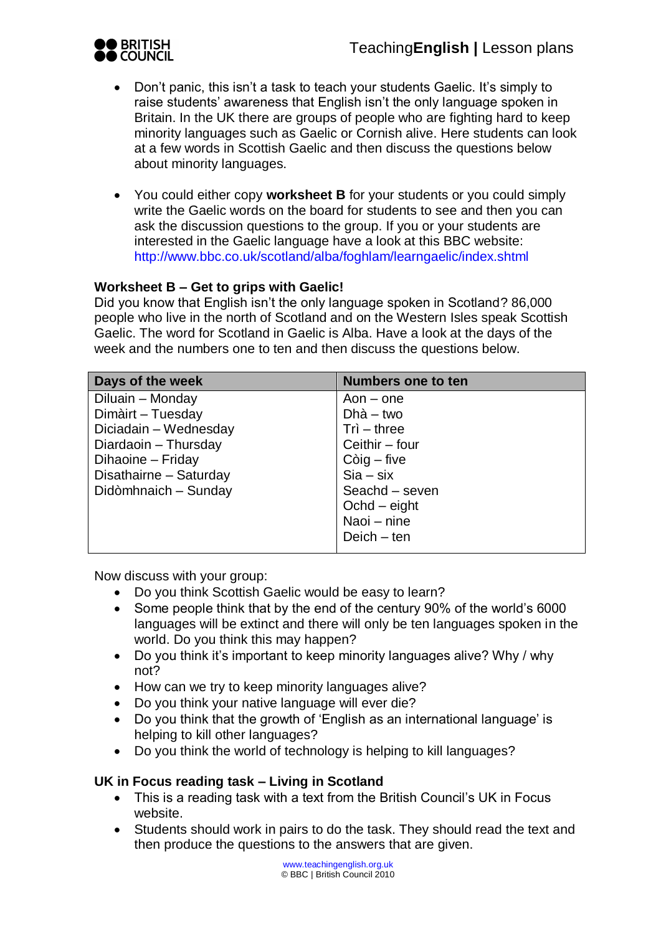

- Don't panic, this isn't a task to teach your students Gaelic. It's simply to raise students' awareness that English isn't the only language spoken in Britain. In the UK there are groups of people who are fighting hard to keep minority languages such as Gaelic or Cornish alive. Here students can look at a few words in Scottish Gaelic and then discuss the questions below about minority languages.
- You could either copy **worksheet B** for your students or you could simply write the Gaelic words on the board for students to see and then you can ask the discussion questions to the group. If you or your students are interested in the Gaelic language have a look at this BBC website: <http://www.bbc.co.uk/scotland/alba/foghlam/learngaelic/index.shtml>

# **Worksheet B – Get to grips with Gaelic!**

Did you know that English isn't the only language spoken in Scotland? 86,000 people who live in the north of Scotland and on the Western Isles speak Scottish Gaelic. The word for Scotland in Gaelic is Alba. Have a look at the days of the week and the numbers one to ten and then discuss the questions below.

| Days of the week       | <b>Numbers one to ten</b> |
|------------------------|---------------------------|
| Diluain - Monday       | Aon $-$ one               |
| Dimàirt - Tuesday      | $Dh\dot{a} - two$         |
| Diciadain - Wednesday  | $Tri - three$             |
| Diardaoin - Thursday   | Ceithir – four            |
| Dihaoine - Friday      | $Còig$ – five             |
| Disathairne - Saturday | $Sia - six$               |
| Didòmhnaich - Sunday   | Seachd - seven            |
|                        | $Ochd - eight$            |
|                        | Naoi - nine               |
|                        | $Deich - ten$             |

Now discuss with your group:

- Do you think Scottish Gaelic would be easy to learn?
- Some people think that by the end of the century 90% of the world's 6000 languages will be extinct and there will only be ten languages spoken in the world. Do you think this may happen?
- Do you think it's important to keep minority languages alive? Why / why not?
- How can we try to keep minority languages alive?
- Do you think your native language will ever die?
- Do you think that the growth of 'English as an international language' is helping to kill other languages?
- Do you think the world of technology is helping to kill languages?

### **UK in Focus reading task – Living in Scotland**

- This is a reading task with a text from the British Council's UK in Focus website.
- Students should work in pairs to do the task. They should read the text and then produce the questions to the answers that are given.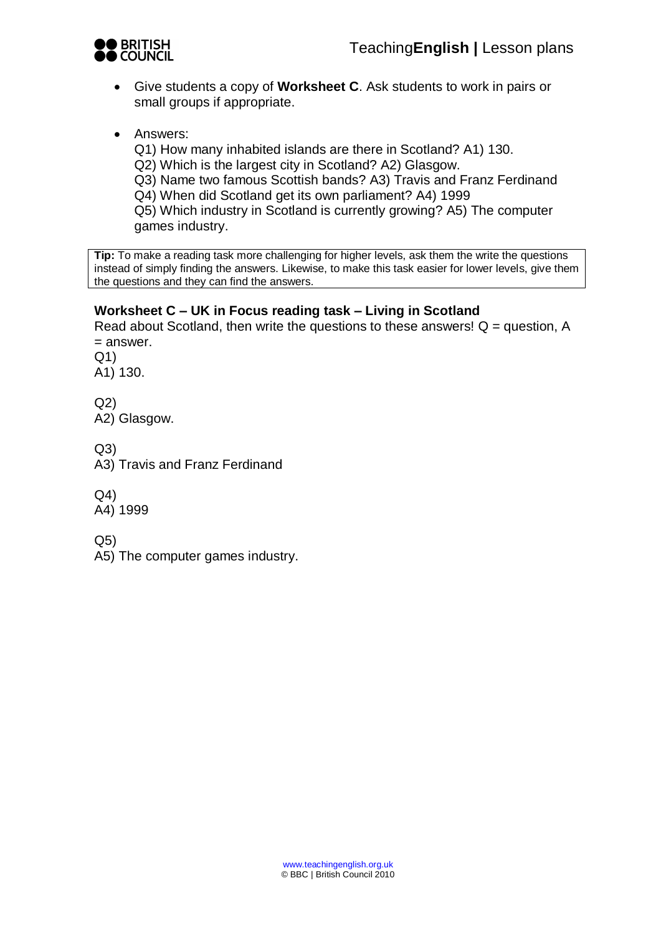

- Give students a copy of **Worksheet C**. Ask students to work in pairs or small groups if appropriate.
- Answers:

Q1) How many inhabited islands are there in Scotland? A1) 130.

Q2) Which is the largest city in Scotland? A2) Glasgow.

Q3) Name two famous Scottish bands? A3) Travis and Franz Ferdinand Q4) When did Scotland get its own parliament? A4) 1999

Q5) Which industry in Scotland is currently growing? A5) The computer games industry.

**Tip:** To make a reading task more challenging for higher levels, ask them the write the questions instead of simply finding the answers. Likewise, to make this task easier for lower levels, give them the questions and they can find the answers.

# **Worksheet C – UK in Focus reading task – Living in Scotland**

Read about Scotland, then write the questions to these answers!  $Q =$  question, A = answer.

Q1) A1) 130.

Q2) A2) Glasgow.

 $Q3$ 

A3) Travis and Franz Ferdinand

Q4)

A4) 1999

Q5)

A5) The computer games industry.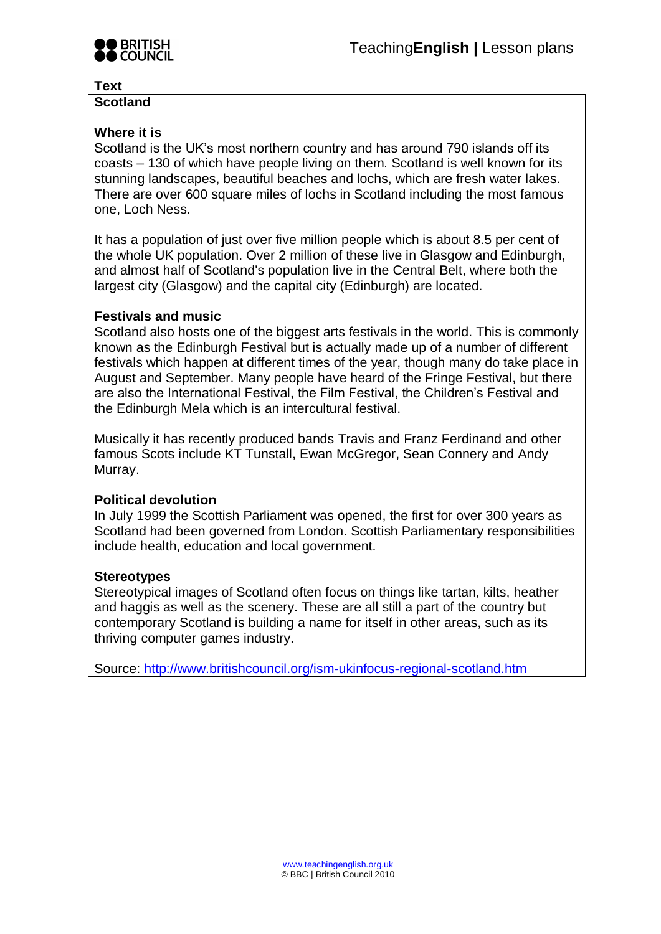

### **Text**

### **Scotland**

# **Where it is**

Scotland is the UK's most northern country and has around 790 islands off its coasts – 130 of which have people living on them. Scotland is well known for its stunning landscapes, beautiful beaches and lochs, which are fresh water lakes. There are over 600 square miles of lochs in Scotland including the most famous one, Loch Ness.

It has a population of just over five million people which is about 8.5 per cent of the whole UK population. Over 2 million of these live in Glasgow and Edinburgh, and almost half of Scotland's population live in the Central Belt, where both the largest city (Glasgow) and the capital city (Edinburgh) are located.

### **Festivals and music**

Scotland also hosts one of the biggest arts festivals in the world. This is commonly known as the Edinburgh Festival but is actually made up of a number of different festivals which happen at different times of the year, though many do take place in August and September. Many people have heard of the Fringe Festival, but there are also the International Festival, the Film Festival, the Children's Festival and the Edinburgh Mela which is an intercultural festival.

Musically it has recently produced bands Travis and Franz Ferdinand and other famous Scots include KT Tunstall, Ewan McGregor, Sean Connery and Andy Murray.

# **Political devolution**

In July 1999 the Scottish Parliament was opened, the first for over 300 years as Scotland had been governed from London. Scottish Parliamentary responsibilities include health, education and local government.

### **Stereotypes**

Stereotypical images of Scotland often focus on things like tartan, kilts, heather and haggis as well as the scenery. These are all still a part of the country but contemporary Scotland is building a name for itself in other areas, such as its thriving computer games industry.

Source:<http://www.britishcouncil.org/ism-ukinfocus-regional-scotland.htm>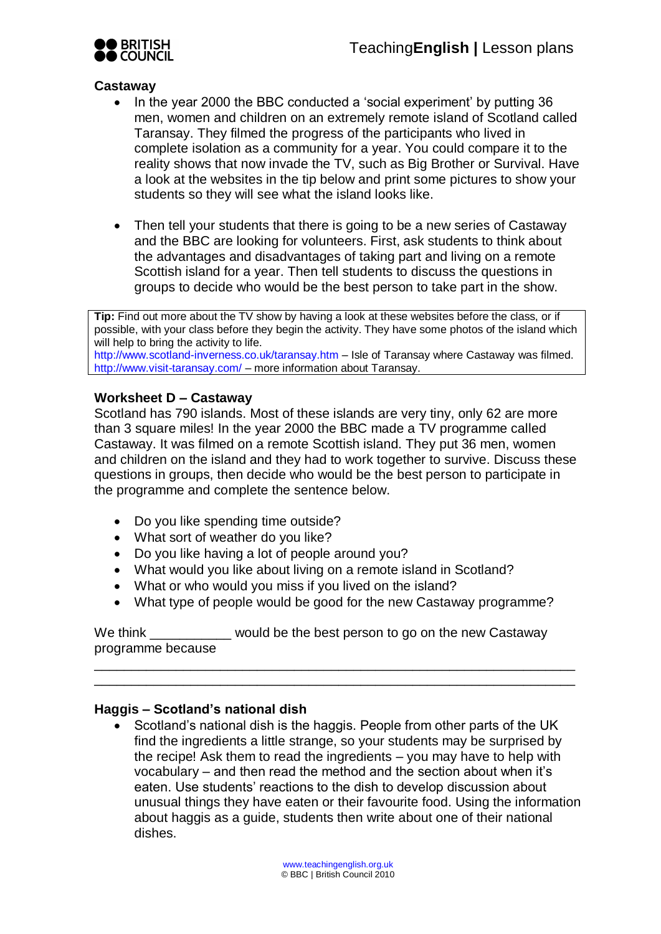

### **Castaway**

- In the year 2000 the BBC conducted a 'social experiment' by putting 36 men, women and children on an extremely remote island of Scotland called Taransay. They filmed the progress of the participants who lived in complete isolation as a community for a year. You could compare it to the reality shows that now invade the TV, such as Big Brother or Survival. Have a look at the websites in the tip below and print some pictures to show your students so they will see what the island looks like.
- Then tell your students that there is going to be a new series of Castaway and the BBC are looking for volunteers. First, ask students to think about the advantages and disadvantages of taking part and living on a remote Scottish island for a year. Then tell students to discuss the questions in groups to decide who would be the best person to take part in the show.

**Tip:** Find out more about the TV show by having a look at these websites before the class, or if possible, with your class before they begin the activity. They have some photos of the island which will help to bring the activity to life. http://www.scotland-inverness.co.uk/taransay.htm – Isle of Taransay where Castaway was filmed. http://www.visit-taransay.com/ – more information about Taransay.

### **Worksheet D – Castaway**

Scotland has 790 islands. Most of these islands are very tiny, only 62 are more than 3 square miles! In the year 2000 the BBC made a TV programme called Castaway. It was filmed on a remote Scottish island. They put 36 men, women and children on the island and they had to work together to survive. Discuss these questions in groups, then decide who would be the best person to participate in the programme and complete the sentence below.

- Do you like spending time outside?
- What sort of weather do you like?
- Do you like having a lot of people around you?
- What would you like about living on a remote island in Scotland?
- What or who would you miss if you lived on the island?
- What type of people would be good for the new Castaway programme?

\_\_\_\_\_\_\_\_\_\_\_\_\_\_\_\_\_\_\_\_\_\_\_\_\_\_\_\_\_\_\_\_\_\_\_\_\_\_\_\_\_\_\_\_\_\_\_\_\_\_\_\_\_\_\_\_\_\_\_\_\_\_\_\_\_ \_\_\_\_\_\_\_\_\_\_\_\_\_\_\_\_\_\_\_\_\_\_\_\_\_\_\_\_\_\_\_\_\_\_\_\_\_\_\_\_\_\_\_\_\_\_\_\_\_\_\_\_\_\_\_\_\_\_\_\_\_\_\_\_\_

We think \_\_\_\_\_\_\_\_\_\_\_ would be the best person to go on the new Castaway programme because

### **Haggis – Scotland's national dish**

 Scotland's national dish is the haggis. People from other parts of the UK find the ingredients a little strange, so your students may be surprised by the recipe! Ask them to read the ingredients – you may have to help with vocabulary – and then read the method and the section about when it's eaten. Use students' reactions to the dish to develop discussion about unusual things they have eaten or their favourite food. Using the information about haggis as a guide, students then write about one of their national dishes.